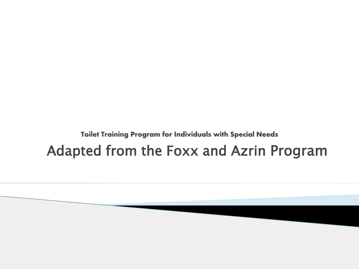#### **Toilet Training Program for Individuals with Special Needs** Adapted from the Foxx and Azrin Program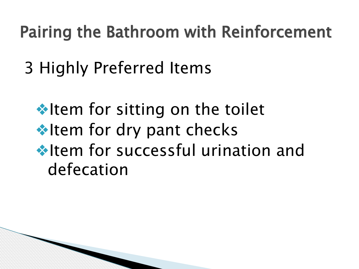### Pairing the Bathroom with Reinforcement

3 Highly Preferred Items

**❖Item for sitting on the toilet ❖Item for dry pant checks** ❖Item for successful urination and defecation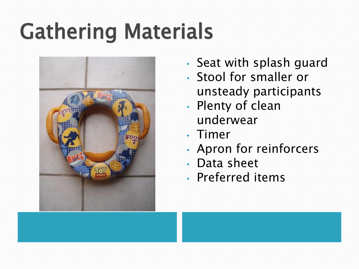# Gathering Materials



- Seat with splash guard
- Stool for smaller or unsteady participants
- Plenty of clean underwear
- Timer
- Apron for reinforcers
- Data sheet
- Preferred items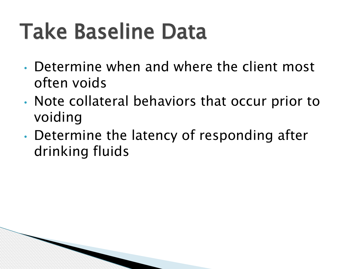## Take Baseline Data

- Determine when and where the client most often voids
- Note collateral behaviors that occur prior to voiding
- Determine the latency of responding after drinking fluids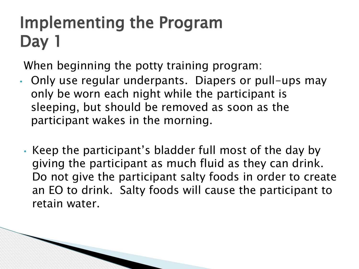### Implementing the Program Day 1

When beginning the potty training program:

- Only use regular underpants. Diapers or pull-ups may only be worn each night while the participant is sleeping, but should be removed as soon as the participant wakes in the morning.
	- Keep the participant's bladder full most of the day by giving the participant as much fluid as they can drink. Do not give the participant salty foods in order to create an EO to drink. Salty foods will cause the participant to retain water.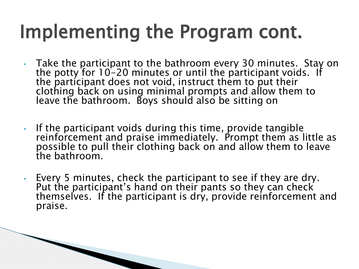### Implementing the Program cont.

- Take the participant to the bathroom every 30 minutes. Stay on the potty for  $10-20$  minutes or until the participant voids. If the participant does not void, instruct them to put their clothing back on using minimal prompts and allow them to leave the bathroom. Boys should also be sitting on
- If the participant voids during this time, provide tangible reinforcement and praise immediately. Prompt them as little as possible to pull their clothing back on and allow them to leave the bathroom.
- Every 5 minutes, check the participant to see if they are dry. Put the participant's hand on their pants so they can check themselves. If the participant is dry, provide reinforcement and praise.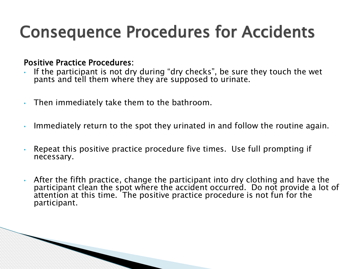### Consequence Procedures for Accidents

#### Positive Practice Procedures:

- If the participant is not dry during "dry checks", be sure they touch the wet pants and tell them where they are supposed to urinate.
- Then immediately take them to the bathroom.
- Immediately return to the spot they urinated in and follow the routine again.
- Repeat this positive practice procedure five times. Use full prompting if necessary.
- After the fifth practice, change the participant into dry clothing and have the participant clean the spot where the accident occurred. Do not provide a lot of attention at this time. The positive practice procedure is not fun for the participant.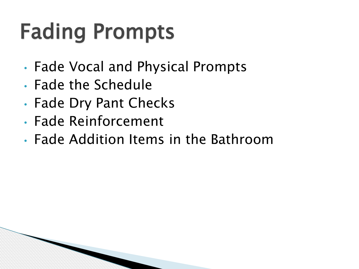## Fading Prompts

- Fade Vocal and Physical Prompts
- Fade the Schedule
- Fade Dry Pant Checks
- Fade Reinforcement
- Fade Addition Items in the Bathroom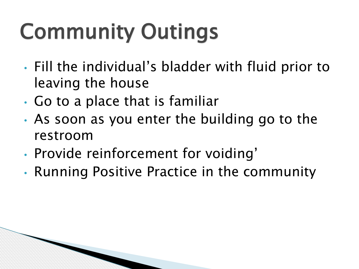# Community Outings

- Fill the individual's bladder with fluid prior to leaving the house
- Go to a place that is familiar
- As soon as you enter the building go to the restroom
- Provide reinforcement for voiding'
- Running Positive Practice in the community